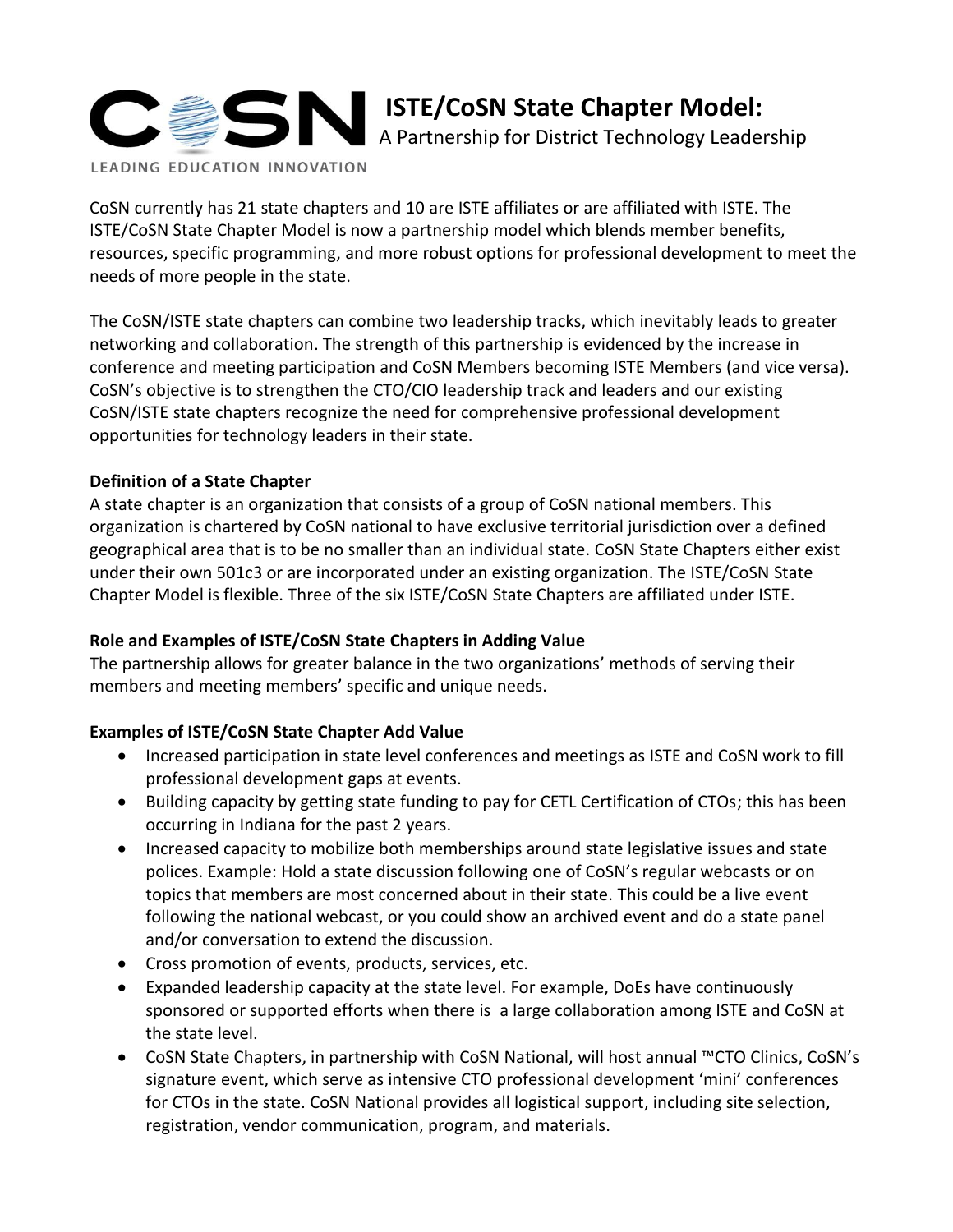

CoSN currently has 21 state chapters and 10 are ISTE affiliates or are affiliated with ISTE. The ISTE/CoSN State Chapter Model is now a partnership model which blends member benefits, resources, specific programming, and more robust options for professional development to meet the needs of more people in the state.

The CoSN/ISTE state chapters can combine two leadership tracks, which inevitably leads to greater networking and collaboration. The strength of this partnership is evidenced by the increase in conference and meeting participation and CoSN Members becoming ISTE Members (and vice versa). CoSN's objective is to strengthen the CTO/CIO leadership track and leaders and our existing CoSN/ISTE state chapters recognize the need for comprehensive professional development opportunities for technology leaders in their state.

## **Definition of a State Chapter**

A state chapter is an organization that consists of a group of CoSN national members. This organization is chartered by CoSN national to have exclusive territorial jurisdiction over a defined geographical area that is to be no smaller than an individual state. CoSN State Chapters either exist under their own 501c3 or are incorporated under an existing organization. The ISTE/CoSN State Chapter Model is flexible. Three of the six ISTE/CoSN State Chapters are affiliated under ISTE.

#### **Role and Examples of ISTE/CoSN State Chapters in Adding Value**

The partnership allows for greater balance in the two organizations' methods of serving their members and meeting members' specific and unique needs.

# **Examples of ISTE/CoSN State Chapter Add Value**

- Increased participation in state level conferences and meetings as ISTE and CoSN work to fill professional development gaps at events.
- Building capacity by getting state funding to pay for CETL Certification of CTOs; this has been occurring in Indiana for the past 2 years.
- Increased capacity to mobilize both memberships around state legislative issues and state polices. Example: Hold a state discussion following one of CoSN's regular webcasts or on topics that members are most concerned about in their state. This could be a live event following the national webcast, or you could show an archived event and do a state panel and/or conversation to extend the discussion.
- Cross promotion of events, products, services, etc.
- Expanded leadership capacity at the state level. For example, DoEs have continuously sponsored or supported efforts when there is a large collaboration among ISTE and CoSN at the state level.
- CoSN State Chapters, in partnership with CoSN National, will host annual ™CTO Clinics, CoSN's signature event, which serve as intensive CTO professional development 'mini' conferences for CTOs in the state. CoSN National provides all logistical support, including site selection, registration, vendor communication, program, and materials.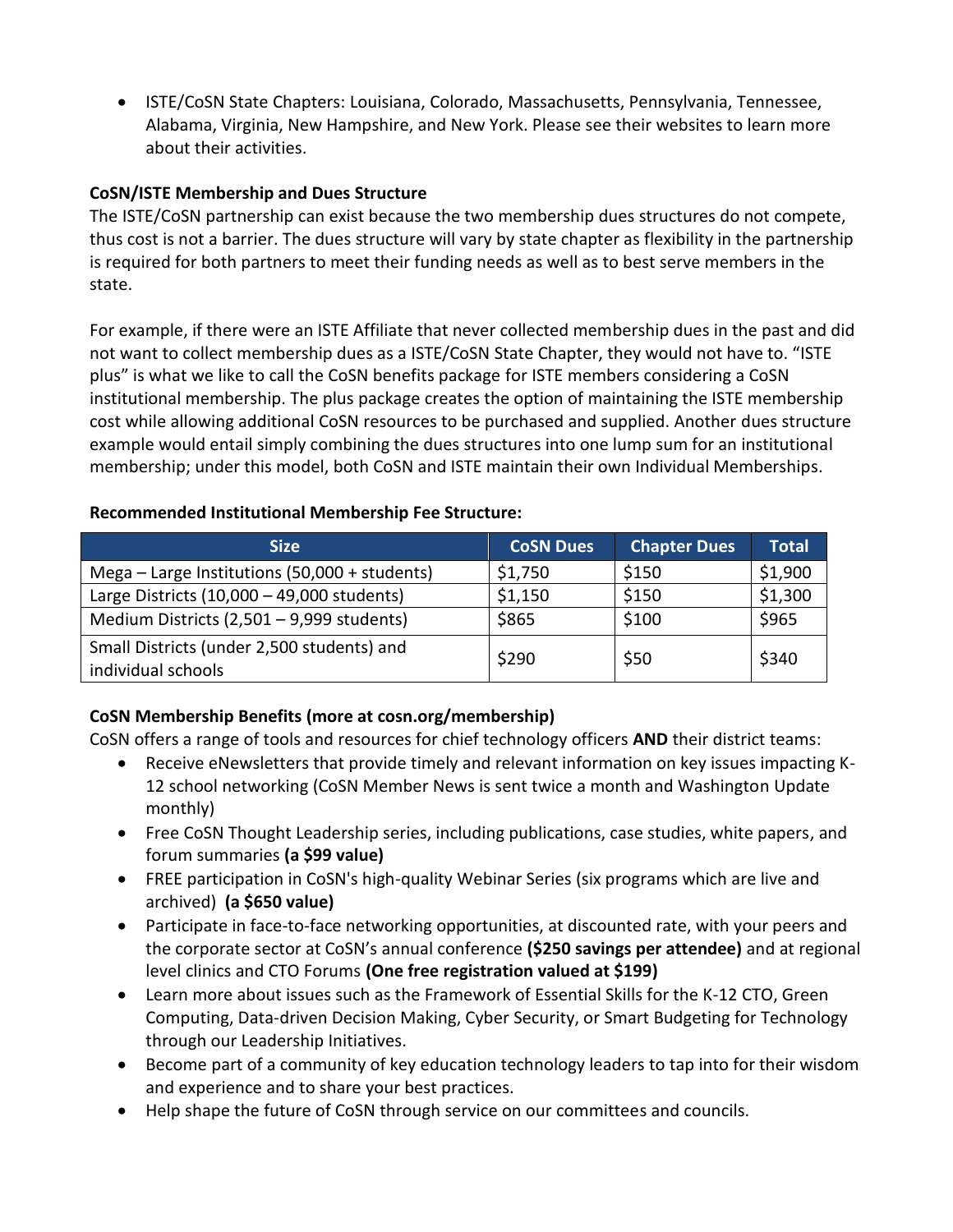ISTE/CoSN State Chapters: Louisiana, Colorado, Massachusetts, Pennsylvania, Tennessee, Alabama, Virginia, New Hampshire, and New York. Please see their websites to learn more about their activities.

#### **CoSN/ISTE Membership and Dues Structure**

The ISTE/CoSN partnership can exist because the two membership dues structures do not compete, thus cost is not a barrier. The dues structure will vary by state chapter as flexibility in the partnership is required for both partners to meet their funding needs as well as to best serve members in the state.

For example, if there were an ISTE Affiliate that never collected membership dues in the past and did not want to collect membership dues as a ISTE/CoSN State Chapter, they would not have to. "ISTE plus" is what we like to call the CoSN benefits package for ISTE members considering a CoSN institutional membership. The plus package creates the option of maintaining the ISTE membership cost while allowing additional CoSN resources to be purchased and supplied. Another dues structure example would entail simply combining the dues structures into one lump sum for an institutional membership; under this model, both CoSN and ISTE maintain their own Individual Memberships.

## **Recommended Institutional Membership Fee Structure:**

| <b>Size</b>                                     | <b>CoSN Dues</b> | <b>Chapter Dues</b> | <b>Total</b> |
|-------------------------------------------------|------------------|---------------------|--------------|
| Mega $-$ Large Institutions (50,000 + students) | \$1,750          | \$150               | \$1,900      |
| Large Districts $(10,000 - 49,000$ students)    | \$1,150          | \$150               | \$1,300      |
| Medium Districts (2,501 - 9,999 students)       | \$865            | \$100               | \$965        |
| Small Districts (under 2,500 students) and      | \$290            | \$50                | \$340        |
| individual schools                              |                  |                     |              |

# **CoSN Membership Benefits (more at cosn.org/membership)**

CoSN offers a range of tools and resources for chief technology officers **AND** their district teams:

- Receive eNewsletters that provide timely and relevant information on key issues impacting K-12 school networking (CoSN Member News is sent twice a month and Washington Update monthly)
- Free CoSN Thought Leadership series, including publications, case studies, white papers, and forum summaries **(a \$99 value)**
- FREE participation in CoSN's high-quality Webinar Series (six programs which are live and archived) **(a \$650 value)**
- Participate in face-to-face networking opportunities, at discounted rate, with your peers and the corporate sector at CoSN's annual conference **(\$250 savings per attendee)** and at regional level clinics and CTO Forums **(One free registration valued at \$199)**
- Learn more about issues such as the Framework of Essential Skills for the K-12 CTO, Green Computing, Data-driven Decision Making, Cyber Security, or Smart Budgeting for Technology through our Leadership Initiatives.
- Become part of a community of key education technology leaders to tap into for their wisdom and experience and to share your best practices.
- Help shape the future of CoSN through service on our committees and councils.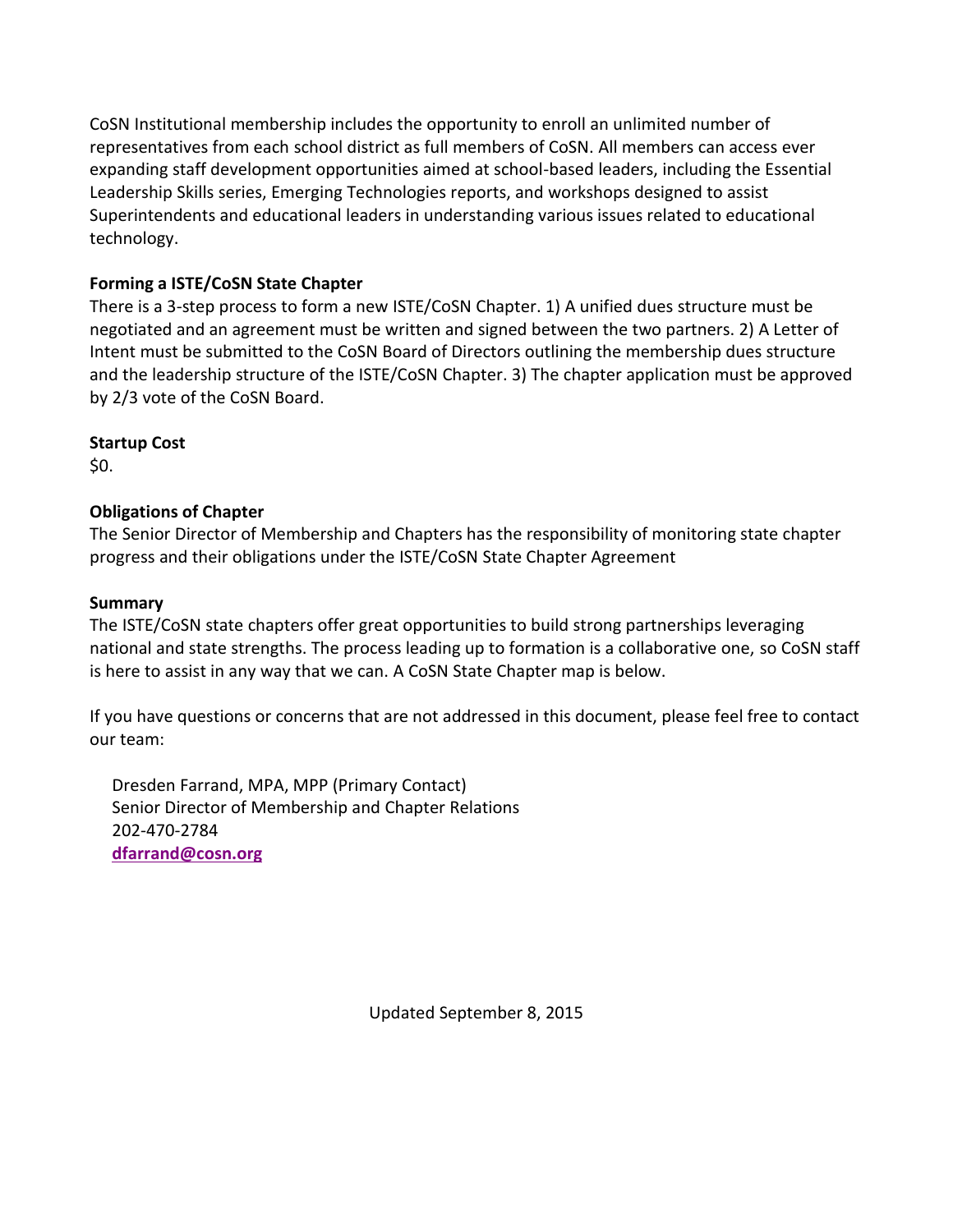CoSN Institutional membership includes the opportunity to enroll an unlimited number of representatives from each school district as full members of CoSN. All members can access ever expanding staff development opportunities aimed at school-based leaders, including the Essential Leadership Skills series, Emerging Technologies reports, and workshops designed to assist Superintendents and educational leaders in understanding various issues related to educational technology.

# **Forming a ISTE/CoSN State Chapter**

There is a 3-step process to form a new ISTE/CoSN Chapter. 1) A unified dues structure must be negotiated and an agreement must be written and signed between the two partners. 2) A Letter of Intent must be submitted to the CoSN Board of Directors outlining the membership dues structure and the leadership structure of the ISTE/CoSN Chapter. 3) The chapter application must be approved by 2/3 vote of the CoSN Board.

**Startup Cost**

\$0.

## **Obligations of Chapter**

The Senior Director of Membership and Chapters has the responsibility of monitoring state chapter progress and their obligations under the ISTE/CoSN State Chapter Agreement

## **Summary**

The ISTE/CoSN state chapters offer great opportunities to build strong partnerships leveraging national and state strengths. The process leading up to formation is a collaborative one, so CoSN staff is here to assist in any way that we can. A CoSN State Chapter map is below.

If you have questions or concerns that are not addressed in this document, please feel free to contact our team:

Dresden Farrand, MPA, MPP (Primary Contact) Senior Director of Membership and Chapter Relations 202-470-2784 **[dfarrand@cosn.org](mailto:dfarrand@cosn.org)**

Updated September 8, 2015